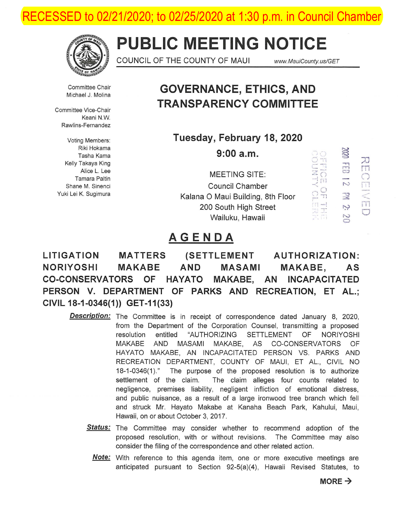RECESSED to 02/21/2020; to 02/25/2020 at 1:30 p.m. in Council Chamber



# **PUBLIC MEETING NOTICE**

COUNCIL OF THE COUNTY OF MAUI www.MauiCounty.us/GET

' ' ' '  $\bigcirc$  Tl

 $\cong$ ~ ...,., ...,  $CD$ N  $\mathbb{R}^2$ r:Y N  $\mathbb{C}$ 

).J m *()* 

r---l ... -  $\leq$  $\frac{\overline{\Pi}}{\Box}$ 

 $\mathbb{R}$ . (")

r<br>\* \* 1 . . . . 3

Committee Chair Michael J. Molina

Committee Vice-Chair Keani N.W Rawlins-Fernandez

Voting Members: Riki Hokama Tasha Kama Kelly Takaya King Alice L. Lee Tamara Paltin Shane M. Sinenci Yuki Lei K. Sugimura

## **GOVERNANCE, ETHICS, AND TRANSPARENCY COMMITTEE**

**Tuesday, February 18,2020** 

9:00 a.m.

MEETING SITE:  $\begin{array}{cc} \mathbb{F}^{\bullet}_{\mathbb{C}} \subset \mathbb{F}^{\bullet}_{\mathbb{C}} \end{array}$ Council Chamber  $\leq$ Kalana O Maui Building, 8th Floor  $\mathbb{R}$   $\pi$ 200 South High Street  $\begin{array}{c} \square = \square \ \square \ \square \ \square \end{array}$  Wailuku, Hawaii

## **AGENDA**

**LITIGATION MATTERS (SETTLEMENT AUTHORIZATION: NORIYOSHI MAKABE AND MASAMI MAKABE, AS CO-CONSERVATORS OF HAYATO MAKABE, AN INCAPACITATED PERSON V. DEPARTMENT OF PARKS AND RECREATION, ET AL.; CIVIL 18-1-0346(1)) GET -11** (33)

- **Description:** The Committee is in receipt of correspondence dated January 8, 2020, from the Department of the Corporation Counsel, transmitting a proposed resolution entitled "AUTHORIZING SETTLEMENT OF NORIYOSHI MAKABE AND MASAMI MAKABE, AS CO-CONSERVATORS OF HAYATO MAKABE, AN INCAPACITATED PERSON VS. PARKS AND RECREATION DEPARTMENT, COUNTY OF MAUl, ET AL., CIVIL NO 18-1 -0346(1)." The purpose of the proposed resolution is to authorize settlement of the claim. The claim alleges four counts related to negligence, premises liability, negligent infliction of emotional distress, and public nuisance, as a result of a large ironwood tree branch which fell and struck Mr. Hayato Makabe at Kanaha Beach Park, Kahului, Maui, Hawaii, on or about October 3, 2017.
	- **Status:** The Committee may consider whether to recommend adoption of the proposed resolution, with or without revisions. The Committee may also consider the filing of the correspondence and other related action.
		- Note: With reference to this agenda item, one or more executive meetings are anticipated pursuant to Section 92-5(a)(4), Hawaii Revised Statutes, to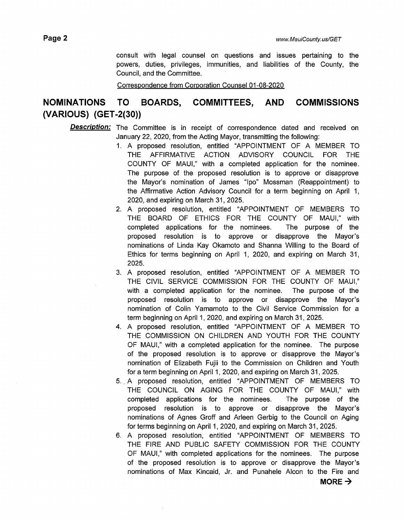consult with legal counsel on questions and issues pertaining to the powers, duties, privileges, immunities, and liabilities of the County, the Council, and the Committee.

Correspondence from Corporation Counsel 01-08-2020

## **NOMINATIONS TO BOARDS, COMMITTEES, AND COMMISSIONS (VARIOUS) (GET -2(30))**

#### **Description:** The Committee is in receipt of correspondence dated and received on January 22, 2020, from the Acting Mayor, transmitting the following:

- 1. A proposed resolution, entitled "APPOINTMENT OF A MEMBER TO THE AFFIRMATIVE ACTION ADVISORY COUNCIL FOR THE COUNTY OF MAUl," with a completed application for the nominee. The purpose of the proposed resolution is to approve or disapprove the Mayor's nomination of James "lpo" Mossman (Reappointment) to the Affirmative Action Advisory Council for a term beginning on April 1, 2020, and expiring on March 31, 2025.
- 2. A proposed resolution, entitled "APPOINTMENT OF MEMBERS TO THE BOARD OF ETHICS FOR THE COUNTY OF MAUl," with completed applications for the nominees. The purpose of the proposed resolution is to approve or disapprove the Mayor's nominations of Linda Kay Okamoto and Shanna Willing to the Board of Ethics for terms beginning on April 1, 2020, and expiring on March 31, 2025.
- 3. A proposed resolution, entitled "APPOINTMENT OF A MEMBER TO THE CIVIL SERVICE COMMISSION FOR THE COUNTY OF MAUl," with a completed application for the nominee. The purpose of the proposed resolution is to approve or disapprove the Mayor's nomination of Colin Yamamoto to the Civil Service Commission for a term beginning on April 1, 2020, and expiring on March 31, 2025.
- 4. A proposed resolution, entitled "APPOINTMENT OF A MEMBER TO THE COMMISSION ON CHILDREN AND YOUTH FOR THE COUNTY OF MAUl," with a completed application for the nominee. The purpose of the proposed resolution is to approve or disapprove the Mayor's nomination of Elizabeth Fujii to the Commission on Children and Youth for a term beginning on April 1, 2020, and expiring on March 31, 2025.
- 5 .. A proposed resolution, entitled "APPOINTMENT OF MEMBERS TO THE COUNCIL ON AGING FOR THE COUNTY OF MAUl," with completed applications for the nominees. The purpose of the proposed resolution is to approve or disapprove the Mayor's nominations of Agnes Groff and Arleen Gerbig to the Council on Aging for terms beginning on April 1, 2020, and expiring on March 31, 2025.
- 6. A proposed resolution, entitled "APPOINTMENT OF MEMBERS TO THE FIRE AND PUBLIC SAFETY COMMISSION FOR THE COUNTY OF MAUl," with completed applications for the nominees. The purpose of the proposed resolution is to approve or disapprove the Mayor's nominations of Max Kincaid, Jr. and Punahele Alcon to the Fire and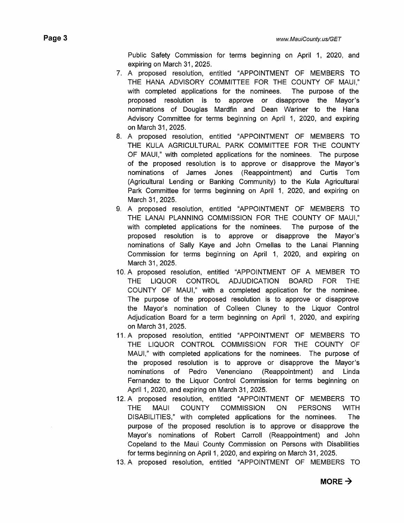Public Safety Commission for terms beginning on April 1, 2020, and expiring on March 31, 2025.

- 7. A proposed resolution, entitled "APPOINTMENT OF MEMBERS TO THE HANA ADVISORY COMMITTEE FOR THE COUNTY OF MAUl," with completed applications for the nominees. The purpose of the proposed resolution is to approve or disapprove the Mayor's nominations of Douglas Mardfin and Dean Wariner to the Hana Advisory Committee for terms beginning on April 1, 2020, and expiring on March 31, 2025.
- 8. A proposed resolution, entitled "APPOINTMENT OF MEMBERS TO THE KULA AGRICULTURAL PARK COMMITTEE FOR THE COUNTY OF MAUl," with completed applications for the nominees. The purpose of the proposed resolution is to approve or disapprove the Mayor's nominations of James Jones (Reappointment) and Curtis Tom (Agricultural Lending or Banking Community) to the Kula Agricultural Park Committee for terms beginning on April 1, 2020, and expiring on March 31, 2025.
- 9. A proposed resolution, entitled "APPOINTMENT OF MEMBERS TO THE LANAI PLANNING COMMISSION FOR THE COUNTY OF MAUl," with completed applications for the nominees. The purpose of the proposed resolution is to approve or disapprove the Mayor's nominations of Sally Kaye and John Ornellas to the Lanai Planning Commission for terms beginning on April 1, 2020, and expiring on March 31, 2025.
- 10. A proposed resolution, entitled "APPOINTMENT OF A MEMBER TO THE LIQUOR CONTROL ADJUDICATION BOARD FOR THE COUNTY OF MAUl," with a completed application for the nominee. The purpose of the proposed resolution is to approve or disapprove the Mayor's nomination of Colleen Cluney to the Liquor Control Adjudication Board for a term beginning on April 1, 2020, and expiring on March 31, 2025.
- 11. A proposed resolution, entitled "APPOINTMENT OF MEMBERS TO THE LIQUOR CONTROL COMMISSION FOR THE COUNTY OF MAUl," with completed applications for the nominees. The purpose of the proposed resolution is to approve or disapprove the Mayor's nominations of Pedro Venenciano (Reappointment) and Linda Fernandez to the Liquor Control Commission for terms beginning on April 1, 2020, and expiring on March 31, 2025.
- 12. A proposed resolution, entitled "APPOINTMENT OF MEMBERS TO THE MAUl COUNTY COMMISSION ON PERSONS WITH DISABILITIES," with completed applications for the nominees. The purpose of the proposed resolution is to approve or disapprove the Mayor's nominations of Robert Carroll (Reappointment) and John Copeland to the Maui County Commission on Persons with Disabilities for terms beginning on April 1, 2020, and expiring on March 31, 2025.
- 13. A proposed resolution, entitled "APPOINTMENT OF MEMBERS TO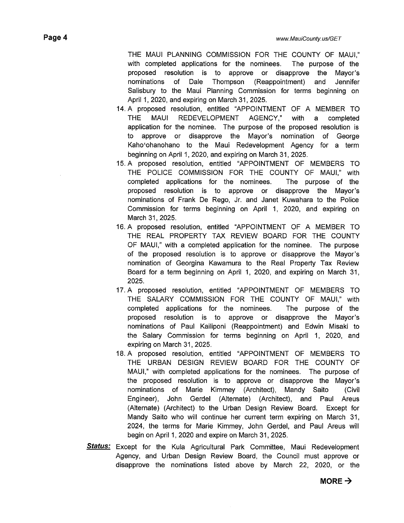THE MAUl PLANNING COMMISSION FOR THE COUNTY OF MAUl," with completed applications for the nominees. The purpose of the proposed resolution is to approve or disapprove the Mayor's nominations of Dale Thompson (Reappointment) and Jennifer Salisbury to the Maui Planning Commission for terms beginning on April 1, 2020, and expiring on March 31, 2025.

- 14. A proposed resolution, entitled "APPOINTMENT OF A MEMBER TO THE MAUl REDEVELOPMENT AGENCY," with a completed application for the nominee. The purpose of the proposed resolution is to approve or disapprove the Mayor's nomination of George Kaho'ohanohano to the Maui Redevelopment Agency for a term beginning on April 1, 2020, and expiring on March 31, 2025.
- 15. A proposed resolution, entitled "APPOINTMENT OF MEMBERS TO THE POLICE COMMISSION FOR THE COUNTY OF MAUl," with completed applications for the nominees. The purpose of the proposed resolution is to approve or disapprove the Mayor's nominations of Frank De Rego, Jr. and Janet Kuwahara to the Police Commission for terms beginning on April 1, 2020, and expiring on March 31, 2025.
- 16. A proposed resolution, entitled "APPOINTMENT OF A MEMBER TO THE REAL PROPERTY TAX REVIEW BOARD FOR THE COUNTY OF MAUl," with a completed application for the nominee. The purpose of the proposed resolution is to approve or disapprove the Mayor's nomination of Georgina Kawamura to the Real Property Tax Review Board for a term beginning on April 1, 2020, and expiring on March 31, 2025.
- 17. A proposed resolution, entitled "APPOINTMENT OF MEMBERS TO THE SALARY COMMISSION FOR THE COUNTY OF MAUl," with completed applications for the nominees. The purpose of the proposed resolution is to approve or disapprove the Mayor's nominations of Paul Kailiponi (Reappointment) and Edwin Misaki to the Salary Commission for terms beginning on April 1, 2020, and expiring on March 31, 2025.
- 18. A proposed resolution, entitled "APPOINTMENT OF MEMBERS TO THE URBAN DESIGN REVIEW BOARD FOR THE COUNTY OF MAUl," with completed applications for the nominees. The purpose of the proposed resolution is to approve or disapprove the Mayor's nominations of Marie Kimmey (Architect), Mandy Saito (Civil Engineer), John Gerdel (Alternate) (Architect), and Paul Areus (Alternate) (Architect) to the Urban Design Review Board. Except for Mandy Saito who will continue her current term expiring on March 31, 2024, the terms for Marie Kimmey, John Gerdel, and Paul Areus will begin on April 1, 2020 and expire on March 31, 2025.
- **Status:** Except for the Kula Agricultural Park Committee, Maui Redevelopment Agency, and Urban Design Review Board, the Council must approve or disapprove the nominations listed above by March 22, 2020, or the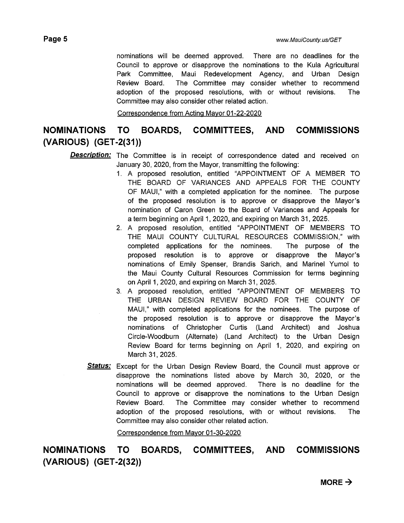nominations will be deemed approved. There are no deadlines for the Council to approve or disapprove the nominations to the Kula Agricultural Park Committee, Maui Redevelopment Agency, and Urban Design Review Board. The Committee may consider whether to recommend adoption of the proposed resolutions, with or without revisions. The Committee may also consider other related action.

Correspondence from Acting Mayor 01-22-2020

## **NOMINATIONS TO BOARDS, COMMITTEES, AND COMMISSIONS (VARIOUS) (GET -2(31))**

**Description:** The Committee is in receipt of correspondence dated and received on January 30, 2020, from the Mayor, transmitting the following:

- 1. A proposed resolution, entitled "APPOINTMENT OF A MEMBER TO THE BOARD OF VARIANCES AND APPEALS FOR THE COUNTY OF MAUl," with a completed application for the nominee. The purpose of the proposed resolution is to approve or disapprove the Mayor's nomination of Caron Green to the Board of Variances and Appeals for a term beginning on April 1, 2020, and expiring on March 31, 2025.
- 2. A proposed resolution, entitled "APPOINTMENT OF MEMBERS TO THE MAUl COUNTY CULTURAL RESOURCES COMMISSION," with completed applications for the nominees. The purpose of the proposed resolution is to approve or disapprove the Mayor's nominations of Emily Spenser, Brandis Sarich, and Marine! Yumol to the Maui County Cultural Resources Commission for terms beginning on April 1, 2020, and expiring on March 31, 2025.
- 3. A proposed resolution, entitled "APPOINTMENT OF MEMBERS TO THE URBAN DESIGN REVIEW BOARD FOR THE COUNTY OF MAUl," with completed applications for the nominees. The purpose of the proposed resolution is to approve or disapprove the Mayor's nominations of Christopher Curtis (Land Architect) and Joshua Circle-Woodburn (Alternate) (Land Architect) to the Urban Design Review Board for terms beginning on April 1, 2020, and expiring on March 31, 2025.
- **Status:** Except for the Urban Design Review Board, the Council must approve or disapprove the nominations listed above by March 30, 2020, or the nominations will be deemed approved. There is no deadline for the Council to approve or disapprove the nominations to the Urban Design Review Board. The Committee may consider whether to recommend adoption of the proposed resolutions, with or without revisions. The Committee may also consider other related action.

Correspondence from Mayor 01-30-2020

**NOMINATIONS TO BOARDS, COMMITTEES, AND COMMISSIONS (VARIOUS) (GET -2(32))**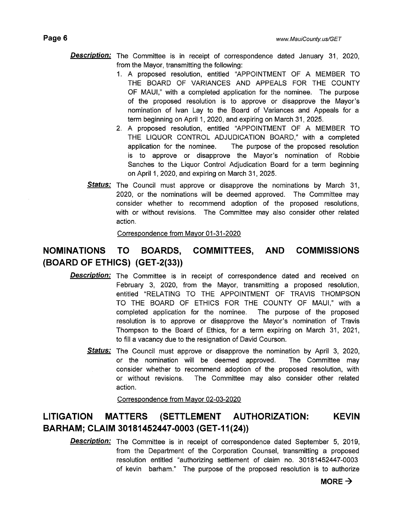- **Description:** The Committee is in receipt of correspondence dated January 31, 2020, from the Mayor, transmitting the following:
	- 1. A proposed resolution, entitled "APPOINTMENT OF A MEMBER TO THE BOARD OF VARIANCES AND APPEALS FOR THE COUNTY OF MAUl," with a completed application for the nominee. The purpose of the proposed resolution is to approve or disapprove the Mayor's nomination of Ivan Lay to the Board of Variances and Appeals for a term beginning on April 1, 2020, and expiring on March 31, 2025.
	- 2. A proposed resolution, entitled "APPOINTMENT OF A MEMBER TO THE LIQUOR CONTROL ADJUDICATION BOARD," with a completed application for the nominee. The purpose of the proposed resolution is to approve or disapprove the Mayor's nomination of Robbie Sanches to the Liquor Control Adjudication Board for a term beginning on April 1, 2020, and expiring on March 31, 2025.
	- **Status:** The Council must approve or disapprove the nominations by March 31, 2020, or the nominations will be deemed approved. The Committee may consider whether to recommend adoption of the proposed resolutions, with or without revisions. The Committee may also consider other related action.

Correspondence from Mayor 01-31-2020

## **NOMINATIONS TO BOARDS, COMMITTEES, AND COMMISSIONS (BOARD OF ETHICS) (GET -2(33))**

- **Description:** The Committee is in receipt of correspondence dated and received on February 3, 2020, from the Mayor, transmitting a proposed resolution, entitled "RELATING TO THE APPOINTMENT OF TRAVIS THOMPSON TO THE BOARD OF ETHICS FOR THE COUNTY OF MAUl," with a completed application for the nominee. The purpose of the proposed resolution is to approve or disapprove the Mayor's nomination of Travis Thompson to the Board of Ethics, for a term expiring on March 31, 2021, to fill a vacancy due to the resignation of David Courson.
	- **Status:** The Council must approve or disapprove the nomination by April 3, 2020, or the nomination will be deemed approved. The Committee may consider whether to recommend adoption of the proposed resolution, with or without revisions. The Committee may also consider other related action.

Correspondence from Mayor 02-03-2020

## **LITIGATION MATTERS (SETTLEMENT AUTHORIZATION: KEVIN BARHAM; CLAIM 30181452447-0003 (GET-11(24))**

**Description:** The Committee is in receipt of correspondence dated September 5, 2019, from the Department of the Corporation Counsel, transmitting a proposed resolution entitled "authorizing settlement of claim no. 30181452447-0003 of kevin barham." The purpose of the proposed resolution is to authorize